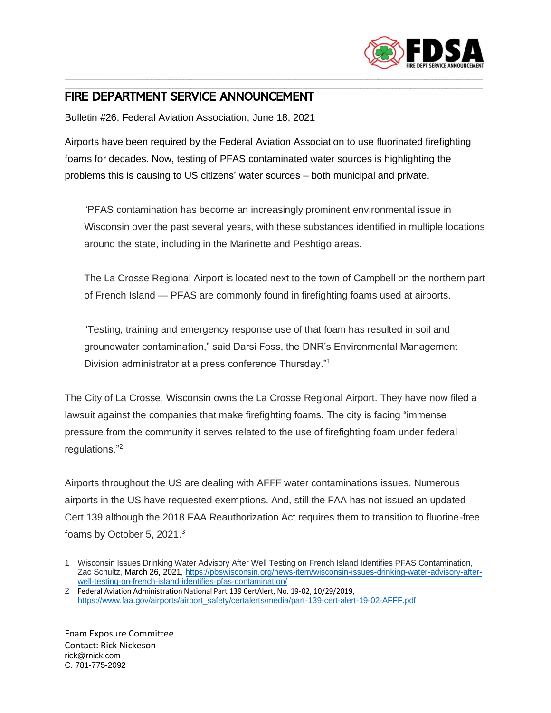

## \_\_\_\_\_\_\_\_\_\_\_\_\_\_\_\_\_\_\_\_\_\_\_\_\_\_\_\_\_\_\_\_\_\_\_\_\_\_\_\_\_\_\_\_\_\_\_\_\_\_\_\_\_\_\_\_\_\_\_\_\_\_\_\_\_\_\_\_\_\_\_\_\_\_\_\_\_\_\_\_\_\_\_\_\_\_\_\_\_\_\_\_\_\_\_\_\_\_\_\_\_\_\_\_\_\_\_\_\_\_\_\_\_\_\_\_ FIRE DEPARTMENT SERVICE ANNOUNCEMENT

Bulletin #26, Federal Aviation Association, June 18, 2021

Airports have been required by the Federal Aviation Association to use fluorinated firefighting foams for decades. Now, testing of PFAS contaminated water sources is highlighting the problems this is causing to US citizens' water sources – both municipal and private.

\_\_\_\_\_\_\_\_\_\_\_\_\_\_\_\_\_\_\_\_\_\_\_\_\_\_\_\_\_\_\_\_\_\_\_\_\_\_\_\_\_\_\_\_\_\_\_\_\_\_\_\_\_\_\_\_\_\_\_\_\_\_\_\_\_\_\_\_\_\_\_\_\_\_\_\_\_\_\_\_\_\_\_\_\_\_\_\_\_\_\_\_\_\_\_\_\_\_\_\_\_\_\_\_\_\_\_\_\_\_\_\_\_\_\_\_

"PFAS contamination has become an increasingly prominent environmental issue in Wisconsin over the past several years, with these substances identified in multiple locations around the state, including in the Marinette and Peshtigo areas.

The La Crosse Regional Airport is located next to the town of Campbell on the northern part of French Island — PFAS are commonly found in firefighting foams used at airports.

"Testing, training and emergency response use of that foam has resulted in soil and groundwater contamination," said Darsi Foss, the DNR's Environmental Management Division administrator at a press conference Thursday."<sup>1</sup>

The City of La Crosse, Wisconsin owns the La Crosse Regional Airport. They have now filed a lawsuit against the companies that make firefighting foams. The city is facing "immense pressure from the community it serves related to the use of firefighting foam under federal regulations."<sup>2</sup>

Airports throughout the US are dealing with AFFF water contaminations issues. Numerous airports in the US have requested exemptions. And, still the FAA has not issued an updated Cert 139 although the 2018 FAA Reauthorization Act requires them to transition to fluorine-free foams by October 5, 2021.<sup>3</sup>

2 Federal Aviation Administration National Part 139 CertAlert, No. 19-02, 10/29/2019, [https://www.faa.gov/airports/airport\\_safety/certalerts/media/part-139-cert-alert-19-02-AFFF.pdf](https://www.faa.gov/airports/airport_safety/certalerts/media/part-139-cert-alert-19-02-AFFF.pdf)

Foam Exposure Committee Contact: Rick Nickeson rick@rnick.com C. 781-775-2092

<sup>1</sup> Wisconsin Issues Drinking Water Advisory After Well Testing on French Island Identifies PFAS Contamination, Zac Schultz, March 26, 2021, [https://pbswisconsin.org/news-item/wisconsin-issues-drinking-water-advisory-after](https://pbswisconsin.org/news-item/wisconsin-issues-drinking-water-advisory-after-well-testing-on-french-island-identifies-pfas-contamination/)[well-testing-on-french-island-identifies-pfas-contamination/](https://pbswisconsin.org/news-item/wisconsin-issues-drinking-water-advisory-after-well-testing-on-french-island-identifies-pfas-contamination/)